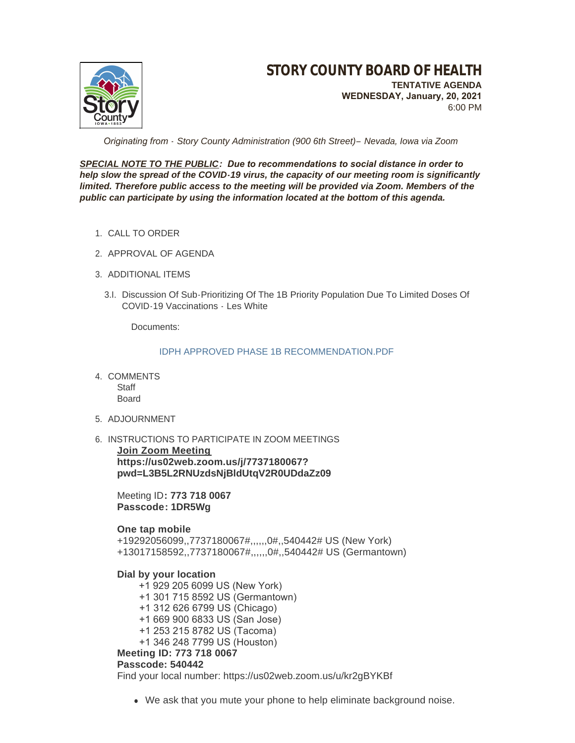

 *Originating from - Story County Administration (900 6th Street)– Nevada, Iowa via Zoom*

*SPECIAL NOTE TO THE PUBLIC: Due to recommendations to social distance in order to help slow the spread of the COVID-19 virus, the capacity of our meeting room is significantly*  limited. Therefore public access to the meeting will be provided via Zoom. Members of the *public can participate by using the information located at the bottom of this agenda.*

- 1. CALL TO ORDER
- 2. APPROVAL OF AGENDA
- 3. ADDITIONAL ITEMS
	- 3.I. Discussion Of Sub-Prioritizing Of The 1B Priority Population Due To Limited Doses Of COVID-19 Vaccinations - Les White

Documents:

[IDPH APPROVED PHASE 1B RECOMMENDATION.PDF](http://www.storycountyiowa.gov/AgendaCenter/ViewFile/Item/20045?fileID=15153)

- 4. COMMENTS **Staff** Board
- 5. ADJOURNMENT
- 6. INSTRUCTIONS TO PARTICIPATE IN ZOOM MEETINGS

**Join Zoom Meeting https://us02web.zoom.us/j/7737180067? pwd=L3B5L2RNUzdsNjBldUtqV2R0UDdaZz09**

Meeting ID**: 773 718 0067 Passcode: 1DR5Wg**

## **One tap mobile**

+19292056099,,7737180067#,,,,,,0#,,540442# US (New York) +13017158592,,7737180067#,,,,,,0#,,540442# US (Germantown)

## **Dial by your location**

 +1 929 205 6099 US (New York) +1 301 715 8592 US (Germantown) +1 312 626 6799 US (Chicago) +1 669 900 6833 US (San Jose) +1 253 215 8782 US (Tacoma) +1 346 248 7799 US (Houston) **Meeting ID: 773 718 0067 Passcode: 540442**

Find your local number: https://us02web.zoom.us/u/kr2gBYKBf

• We ask that you mute your phone to help eliminate background noise.